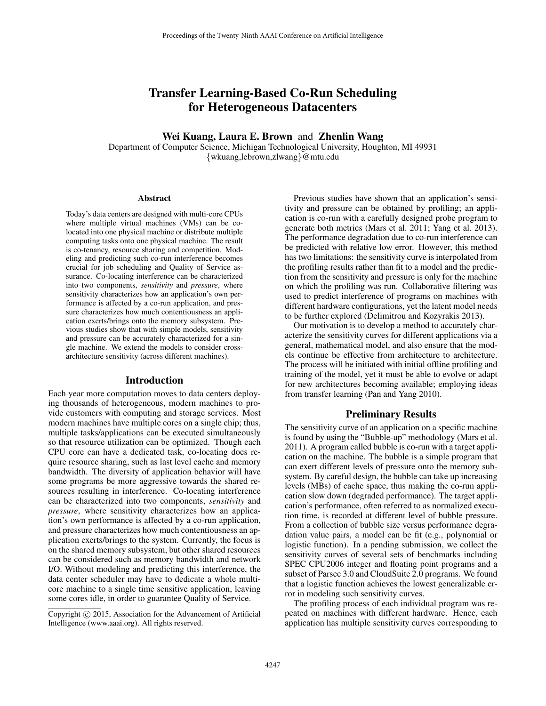# Transfer Learning-Based Co-Run Scheduling for Heterogeneous Datacenters

# Wei Kuang, Laura E. Brown and Zhenlin Wang

Department of Computer Science, Michigan Technological University, Houghton, MI 49931 {wkuang,lebrown,zlwang}@mtu.edu

#### Abstract

Today's data centers are designed with multi-core CPUs where multiple virtual machines (VMs) can be colocated into one physical machine or distribute multiple computing tasks onto one physical machine. The result is co-tenancy, resource sharing and competition. Modeling and predicting such co-run interference becomes crucial for job scheduling and Quality of Service assurance. Co-locating interference can be characterized into two components, *sensitivity* and *pressure*, where sensitivity characterizes how an application's own performance is affected by a co-run application, and pressure characterizes how much contentiousness an application exerts/brings onto the memory subsystem. Previous studies show that with simple models, sensitivity and pressure can be accurately characterized for a single machine. We extend the models to consider crossarchitecture sensitivity (across different machines).

### Introduction

Each year more computation moves to data centers deploying thousands of heterogeneous, modern machines to provide customers with computing and storage services. Most modern machines have multiple cores on a single chip; thus, multiple tasks/applications can be executed simultaneously so that resource utilization can be optimized. Though each CPU core can have a dedicated task, co-locating does require resource sharing, such as last level cache and memory bandwidth. The diversity of application behavior will have some programs be more aggressive towards the shared resources resulting in interference. Co-locating interference can be characterized into two components, *sensitivity* and *pressure*, where sensitivity characterizes how an application's own performance is affected by a co-run application, and pressure characterizes how much contentiousness an application exerts/brings to the system. Currently, the focus is on the shared memory subsystem, but other shared resources can be considered such as memory bandwidth and network I/O. Without modeling and predicting this interference, the data center scheduler may have to dedicate a whole multicore machine to a single time sensitive application, leaving some cores idle, in order to guarantee Quality of Service.

Previous studies have shown that an application's sensitivity and pressure can be obtained by profiling; an application is co-run with a carefully designed probe program to generate both metrics (Mars et al. 2011; Yang et al. 2013). The performance degradation due to co-run interference can be predicted with relative low error. However, this method has two limitations: the sensitivity curve is interpolated from the profiling results rather than fit to a model and the prediction from the sensitivity and pressure is only for the machine on which the profiling was run. Collaborative filtering was used to predict interference of programs on machines with different hardware configurations, yet the latent model needs to be further explored (Delimitrou and Kozyrakis 2013).

Our motivation is to develop a method to accurately characterize the sensitivity curves for different applications via a general, mathematical model, and also ensure that the models continue be effective from architecture to architecture. The process will be initiated with initial offline profiling and training of the model, yet it must be able to evolve or adapt for new architectures becoming available; employing ideas from transfer learning (Pan and Yang 2010).

# Preliminary Results

The sensitivity curve of an application on a specific machine is found by using the "Bubble-up" methodology (Mars et al. 2011). A program called bubble is co-run with a target application on the machine. The bubble is a simple program that can exert different levels of pressure onto the memory subsystem. By careful design, the bubble can take up increasing levels (MBs) of cache space, thus making the co-run application slow down (degraded performance). The target application's performance, often referred to as normalized execution time, is recorded at different level of bubble pressure. From a collection of bubble size versus performance degradation value pairs, a model can be fit (e.g., polynomial or logistic function). In a pending submission, we collect the sensitivity curves of several sets of benchmarks including SPEC CPU2006 integer and floating point programs and a subset of Parsec 3.0 and CloudSuite 2.0 programs. We found that a logistic function achieves the lowest generalizable error in modeling such sensitivity curves.

The profiling process of each individual program was repeated on machines with different hardware. Hence, each application has multiple sensitivity curves corresponding to

Copyright (c) 2015, Association for the Advancement of Artificial Intelligence (www.aaai.org). All rights reserved.